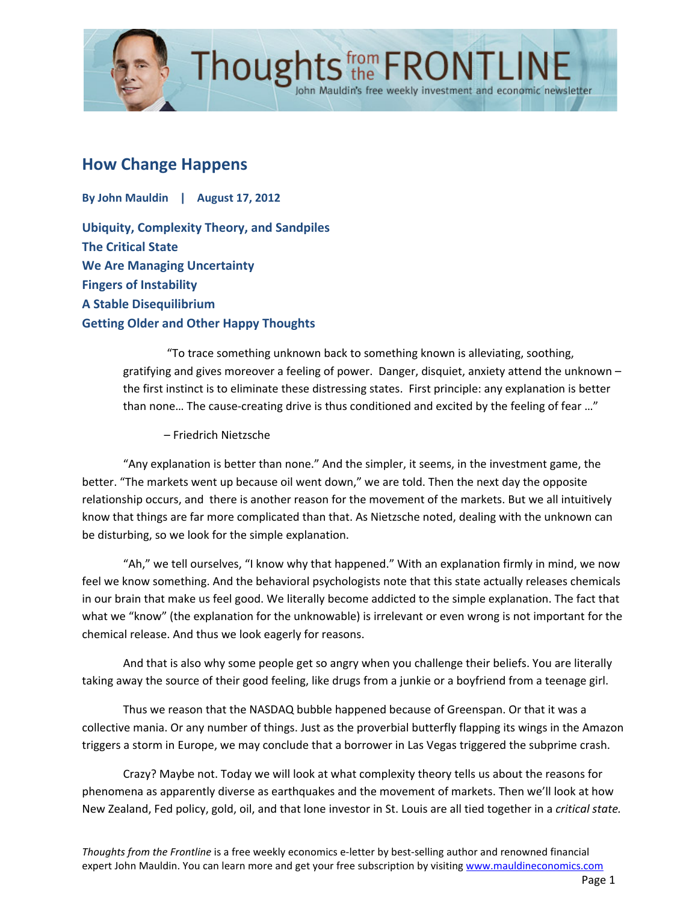

# **How Change Happens**

By John Mauldin | August 17, 2012 **Ubiquity, Complexity Theory, and Sandpiles The Critical State We Are Managing Uncertainty Fingers of Instability A Stable Disequilibrium Getting Older and Other Happy Thoughts** 

> "To trace something unknown back to something known is alleviating, soothing, gratifying and gives moreover a feeling of power. Danger, disquiet, anxiety attend the unknown the first instinct is to eliminate these distressing states. First principle: any explanation is better than none... The cause-creating drive is thus conditioned and excited by the feeling of fear ..."

John Mauldin's free weekly investment and economic newsletter

#### - Friedrich Nietzsche

"Any explanation is better than none." And the simpler, it seems, in the investment game, the better. "The markets went up because oil went down," we are told. Then the next day the opposite relationship occurs, and there is another reason for the movement of the markets. But we all intuitively know that things are far more complicated than that. As Nietzsche noted, dealing with the unknown can be disturbing, so we look for the simple explanation.

"Ah," we tell ourselves, "I know why that happened." With an explanation firmly in mind, we now feel we know something. And the behavioral psychologists note that this state actually releases chemicals in our brain that make us feel good. We literally become addicted to the simple explanation. The fact that what we "know" (the explanation for the unknowable) is irrelevant or even wrong is not important for the chemical release. And thus we look eagerly for reasons.

And that is also why some people get so angry when you challenge their beliefs. You are literally taking away the source of their good feeling, like drugs from a junkie or a boyfriend from a teenage girl.

Thus we reason that the NASDAQ bubble happened because of Greenspan. Or that it was a collective mania. Or any number of things. Just as the proverbial butterfly flapping its wings in the Amazon triggers a storm in Europe, we may conclude that a borrower in Las Vegas triggered the subprime crash.

Crazy? Maybe not. Today we will look at what complexity theory tells us about the reasons for phenomena as apparently diverse as earthquakes and the movement of markets. Then we'll look at how New Zealand, Fed policy, gold, oil, and that lone investor in St. Louis are all tied together in a critical state.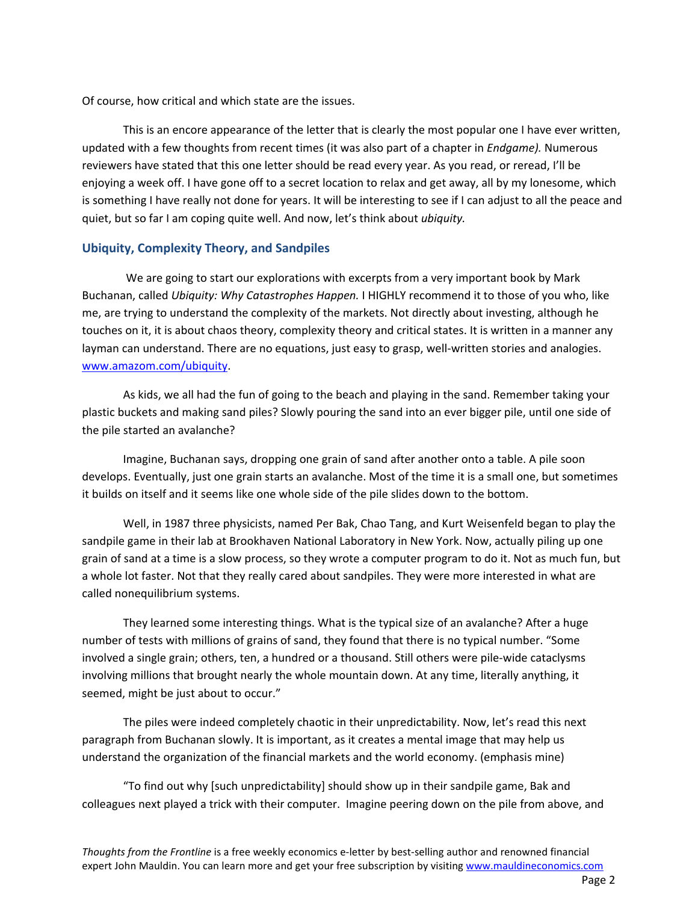Of course, how critical and which state are the issues.

This is an encore appearance of the letter that is clearly the most popular one I have ever written, updated with a few thoughts from recent times (it was also part of a chapter in *Endgame)*. Numerous reviewers have stated that this one letter should be read every year. As you read, or reread, I'll be enjoying a week off. I have gone off to a secret location to relax and get away, all by my lonesome, which is something I have really not done for years. It will be interesting to see if I can adjust to all the peace and quiet, but so far I am coping quite well. And now, let's think about *ubiquity*.

#### **Ubiquity, Complexity Theory, and Sandpiles**

We are going to start our explorations with excerpts from a very important book by Mark Buchanan, called *Ubiquity: Why Catastrophes Happen.* I HIGHLY recommend it to those of you who, like me, are trying to understand the complexity of the markets. Not directly about investing, although he touches on it, it is about chaos theory, complexity theory and critical states. It is written in a manner any layman can understand. There are no equations, just easy to grasp, well-written stories and analogies. www.amazom.com/ubiquity.

As kids, we all had the fun of going to the beach and playing in the sand. Remember taking your plastic buckets and making sand piles? Slowly pouring the sand into an ever bigger pile, until one side of the pile started an avalanche?

Imagine, Buchanan says, dropping one grain of sand after another onto a table. A pile soon develops. Eventually, just one grain starts an avalanche. Most of the time it is a small one, but sometimes it builds on itself and it seems like one whole side of the pile slides down to the bottom.

Well, in 1987 three physicists, named Per Bak, Chao Tang, and Kurt Weisenfeld began to play the sandpile game in their lab at Brookhaven National Laboratory in New York. Now, actually piling up one grain of sand at a time is a slow process, so they wrote a computer program to do it. Not as much fun, but a whole lot faster. Not that they really cared about sandpiles. They were more interested in what are called nonequilibrium systems.

They learned some interesting things. What is the typical size of an avalanche? After a huge number of tests with millions of grains of sand, they found that there is no typical number. "Some involved a single grain; others, ten, a hundred or a thousand. Still others were pile-wide cataclysms involving millions that brought nearly the whole mountain down. At any time, literally anything, it seemed, might be just about to occur."

The piles were indeed completely chaotic in their unpredictability. Now, let's read this next paragraph from Buchanan slowly. It is important, as it creates a mental image that may help us understand the organization of the financial markets and the world economy. (emphasis mine)

"To find out why [such unpredictability] should show up in their sandpile game, Bak and colleagues next played a trick with their computer. Imagine peering down on the pile from above, and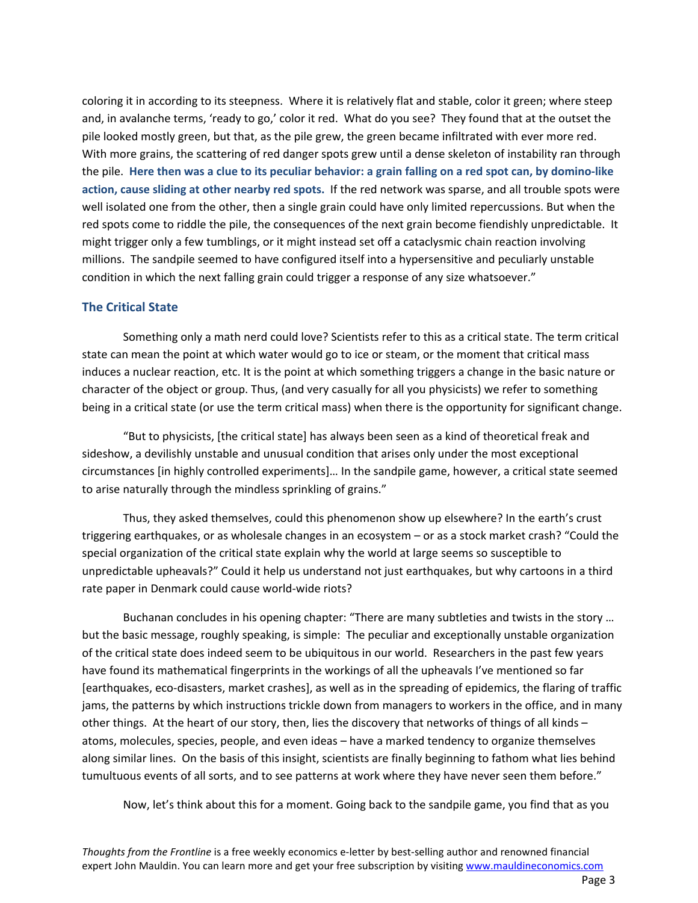coloring it in according to its steepness. Where it is relatively flat and stable, color it green; where steep and, in avalanche terms, 'ready to go,' color it red. What do you see? They found that at the outset the pile looked mostly green, but that, as the pile grew, the green became infiltrated with ever more red. With more grains, the scattering of red danger spots grew until a dense skeleton of instability ran through the pile. Here then was a clue to its peculiar behavior: a grain falling on a red spot can, by domino-like action, cause sliding at other nearby red spots. If the red network was sparse, and all trouble spots were well isolated one from the other, then a single grain could have only limited repercussions. But when the red spots come to riddle the pile, the consequences of the next grain become fiendishly unpredictable. It might trigger only a few tumblings, or it might instead set off a cataclysmic chain reaction involving millions. The sandpile seemed to have configured itself into a hypersensitive and peculiarly unstable condition in which the next falling grain could trigger a response of any size whatsoever."

#### **The Critical State**

Something only a math nerd could love? Scientists refer to this as a critical state. The term critical state can mean the point at which water would go to ice or steam, or the moment that critical mass induces a nuclear reaction, etc. It is the point at which something triggers a change in the basic nature or character of the object or group. Thus, (and very casually for all you physicists) we refer to something being in a critical state (or use the term critical mass) when there is the opportunity for significant change.

"But to physicists, [the critical state] has always been seen as a kind of theoretical freak and sideshow, a devilishly unstable and unusual condition that arises only under the most exceptional circumstances [in highly controlled experiments]... In the sandpile game, however, a critical state seemed to arise naturally through the mindless sprinkling of grains."

Thus, they asked themselves, could this phenomenon show up elsewhere? In the earth's crust triggering earthquakes, or as wholesale changes in an ecosystem - or as a stock market crash? "Could the special organization of the critical state explain why the world at large seems so susceptible to unpredictable upheavals?" Could it help us understand not just earthquakes, but why cartoons in a third rate paper in Denmark could cause world-wide riots?

Buchanan concludes in his opening chapter: "There are many subtleties and twists in the story ... but the basic message, roughly speaking, is simple: The peculiar and exceptionally unstable organization of the critical state does indeed seem to be ubiquitous in our world. Researchers in the past few years have found its mathematical fingerprints in the workings of all the upheavals I've mentioned so far [earthquakes, eco-disasters, market crashes], as well as in the spreading of epidemics, the flaring of traffic jams, the patterns by which instructions trickle down from managers to workers in the office, and in many other things. At the heart of our story, then, lies the discovery that networks of things of all kinds atoms, molecules, species, people, and even ideas – have a marked tendency to organize themselves along similar lines. On the basis of this insight, scientists are finally beginning to fathom what lies behind tumultuous events of all sorts, and to see patterns at work where they have never seen them before."

Now, let's think about this for a moment. Going back to the sandpile game, you find that as you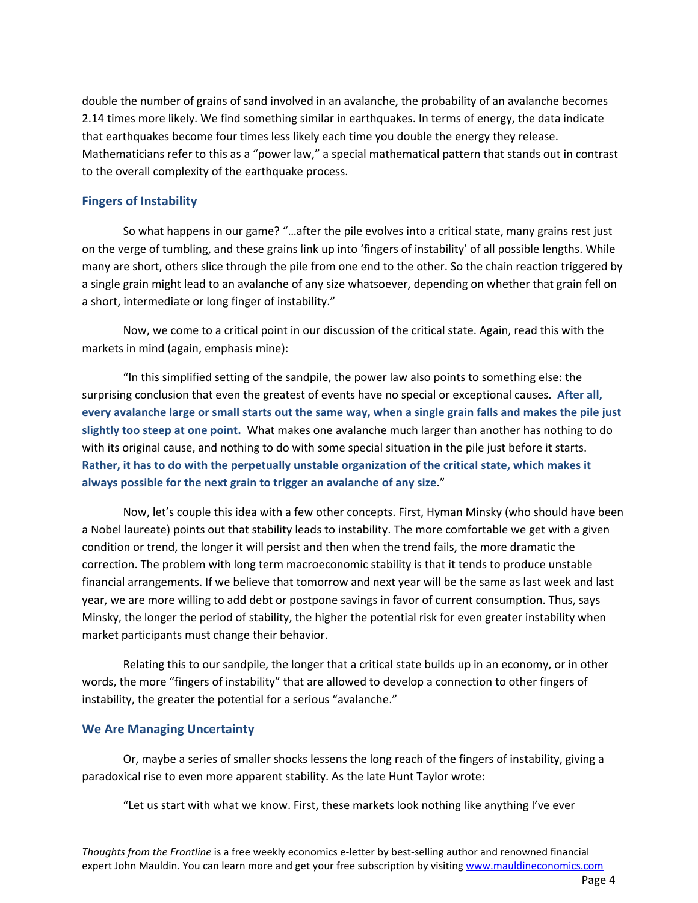double the number of grains of sand involved in an avalanche, the probability of an avalanche becomes 2.14 times more likely. We find something similar in earthquakes. In terms of energy, the data indicate that earthquakes become four times less likely each time you double the energy they release. Mathematicians refer to this as a "power law," a special mathematical pattern that stands out in contrast to the overall complexity of the earthquake process.

## **Fingers of Instability**

So what happens in our game? "...after the pile evolves into a critical state, many grains rest just on the verge of tumbling, and these grains link up into 'fingers of instability' of all possible lengths. While many are short, others slice through the pile from one end to the other. So the chain reaction triggered by a single grain might lead to an avalanche of any size whatsoever, depending on whether that grain fell on a short, intermediate or long finger of instability."

Now, we come to a critical point in our discussion of the critical state. Again, read this with the markets in mind (again, emphasis mine):

"In this simplified setting of the sandpile, the power law also points to something else: the surprising conclusion that even the greatest of events have no special or exceptional causes. After all, every avalanche large or small starts out the same way, when a single grain falls and makes the pile just slightly too steep at one point. What makes one avalanche much larger than another has nothing to do with its original cause, and nothing to do with some special situation in the pile just before it starts. Rather, it has to do with the perpetually unstable organization of the critical state, which makes it always possible for the next grain to trigger an avalanche of any size."

Now, let's couple this idea with a few other concepts. First, Hyman Minsky (who should have been a Nobel laureate) points out that stability leads to instability. The more comfortable we get with a given condition or trend, the longer it will persist and then when the trend fails, the more dramatic the correction. The problem with long term macroeconomic stability is that it tends to produce unstable financial arrangements. If we believe that tomorrow and next year will be the same as last week and last year, we are more willing to add debt or postpone savings in favor of current consumption. Thus, says Minsky, the longer the period of stability, the higher the potential risk for even greater instability when market participants must change their behavior.

Relating this to our sandpile, the longer that a critical state builds up in an economy, or in other words, the more "fingers of instability" that are allowed to develop a connection to other fingers of instability, the greater the potential for a serious "avalanche."

## **We Are Managing Uncertainty**

Or, maybe a series of smaller shocks lessens the long reach of the fingers of instability, giving a paradoxical rise to even more apparent stability. As the late Hunt Taylor wrote:

"Let us start with what we know. First, these markets look nothing like anything I've ever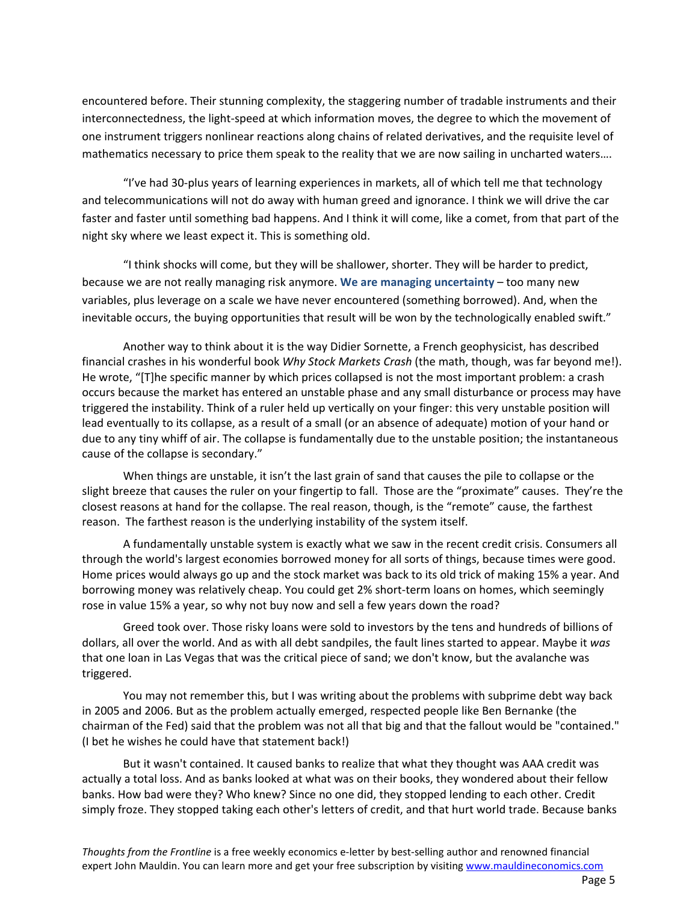encountered before. Their stunning complexity, the staggering number of tradable instruments and their interconnectedness, the light-speed at which information moves, the degree to which the movement of one instrument triggers nonlinear reactions along chains of related derivatives, and the requisite level of mathematics necessary to price them speak to the reality that we are now sailing in uncharted waters....

"I've had 30-plus years of learning experiences in markets, all of which tell me that technology and telecommunications will not do away with human greed and ignorance. I think we will drive the car faster and faster until something bad happens. And I think it will come, like a comet, from that part of the night sky where we least expect it. This is something old.

"I think shocks will come, but they will be shallower, shorter. They will be harder to predict, because we are not really managing risk anymore. We are managing uncertainty – too many new variables, plus leverage on a scale we have never encountered (something borrowed). And, when the inevitable occurs, the buying opportunities that result will be won by the technologically enabled swift."

Another way to think about it is the way Didier Sornette, a French geophysicist, has described financial crashes in his wonderful book *Why Stock Markets Crash* (the math, though, was far beyond me!). He wrote, "[T]he specific manner by which prices collapsed is not the most important problem: a crash occurs because the market has entered an unstable phase and any small disturbance or process may have triggered the instability. Think of a ruler held up vertically on your finger: this very unstable position will lead eventually to its collapse, as a result of a small (or an absence of adequate) motion of your hand or due to any tiny whiff of air. The collapse is fundamentally due to the unstable position; the instantaneous cause of the collapse is secondary."

When things are unstable, it isn't the last grain of sand that causes the pile to collapse or the slight breeze that causes the ruler on your fingertip to fall. Those are the "proximate" causes. They're the closest reasons at hand for the collapse. The real reason, though, is the "remote" cause, the farthest reason. The farthest reason is the underlying instability of the system itself.

A fundamentally unstable system is exactly what we saw in the recent credit crisis. Consumers all through the world's largest economies borrowed money for all sorts of things, because times were good. Home prices would always go up and the stock market was back to its old trick of making 15% a year. And borrowing money was relatively cheap. You could get 2% short-term loans on homes, which seemingly rose in value 15% a year, so why not buy now and sell a few years down the road?

Greed took over. Those risky loans were sold to investors by the tens and hundreds of billions of dollars, all over the world. And as with all debt sandpiles, the fault lines started to appear. Maybe it *was* that one loan in Las Vegas that was the critical piece of sand; we don't know, but the avalanche was triggered.

You may not remember this, but I was writing about the problems with subprime debt way back in 2005 and 2006. But as the problem actually emerged, respected people like Ben Bernanke (the chairman of the Fed) said that the problem was not all that big and that the fallout would be "contained." (I bet he wishes he could have that statement back!)

But it wasn't contained. It caused banks to realize that what they thought was AAA credit was actually a total loss. And as banks looked at what was on their books, they wondered about their fellow banks. How bad were they? Who knew? Since no one did, they stopped lending to each other. Credit simply froze. They stopped taking each other's letters of credit, and that hurt world trade. Because banks

*Thoughts from the Frontline* is a free weekly economics e-letter by best-selling author and renowned financial expert John Mauldin. You can learn more and get your free subscription by visiting www.mauldineconomics.com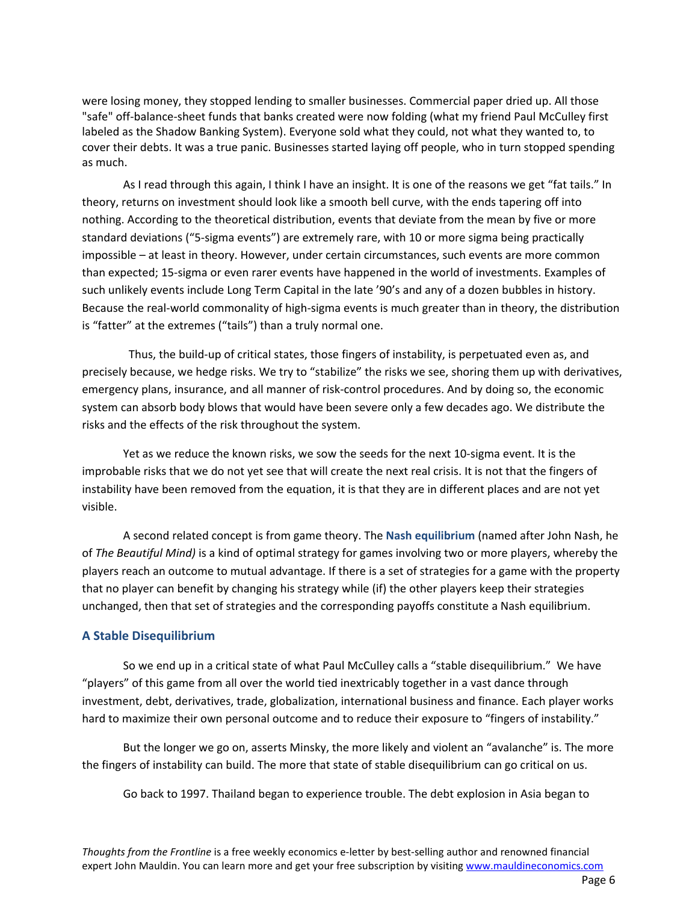were losing money, they stopped lending to smaller businesses. Commercial paper dried up. All those "safe" off-balance-sheet funds that banks created were now folding (what my friend Paul McCulley first labeled as the Shadow Banking System). Everyone sold what they could, not what they wanted to, to cover their debts. It was a true panic. Businesses started laying off people, who in turn stopped spending as much.

As I read through this again, I think I have an insight. It is one of the reasons we get "fat tails." In theory, returns on investment should look like a smooth bell curve, with the ends tapering off into nothing. According to the theoretical distribution, events that deviate from the mean by five or more standard deviations ("5-sigma events") are extremely rare, with 10 or more sigma being practically impossible – at least in theory. However, under certain circumstances, such events are more common than expected; 15-sigma or even rarer events have happened in the world of investments. Examples of such unlikely events include Long Term Capital in the late '90's and any of a dozen bubbles in history. Because the real-world commonality of high-sigma events is much greater than in theory, the distribution is "fatter" at the extremes ("tails") than a truly normal one.

Thus, the build-up of critical states, those fingers of instability, is perpetuated even as, and precisely because, we hedge risks. We try to "stabilize" the risks we see, shoring them up with derivatives, emergency plans, insurance, and all manner of risk-control procedures. And by doing so, the economic system can absorb body blows that would have been severe only a few decades ago. We distribute the risks and the effects of the risk throughout the system.

Yet as we reduce the known risks, we sow the seeds for the next 10-sigma event. It is the improbable risks that we do not yet see that will create the next real crisis. It is not that the fingers of instability have been removed from the equation, it is that they are in different places and are not yet visible.

A second related concept is from game theory. The Nash equilibrium (named after John Nash, he of *The Beautiful Mind)* is a kind of optimal strategy for games involving two or more players, whereby the players reach an outcome to mutual advantage. If there is a set of strategies for a game with the property that no player can benefit by changing his strategy while (if) the other players keep their strategies unchanged, then that set of strategies and the corresponding payoffs constitute a Nash equilibrium.

# **A Stable Disequilibrium**

So we end up in a critical state of what Paul McCulley calls a "stable disequilibrium." We have "players" of this game from all over the world tied inextricably together in a vast dance through investment, debt, derivatives, trade, globalization, international business and finance. Each player works hard to maximize their own personal outcome and to reduce their exposure to "fingers of instability."

But the longer we go on, asserts Minsky, the more likely and violent an "avalanche" is. The more the fingers of instability can build. The more that state of stable disequilibrium can go critical on us.

Go back to 1997. Thailand began to experience trouble. The debt explosion in Asia began to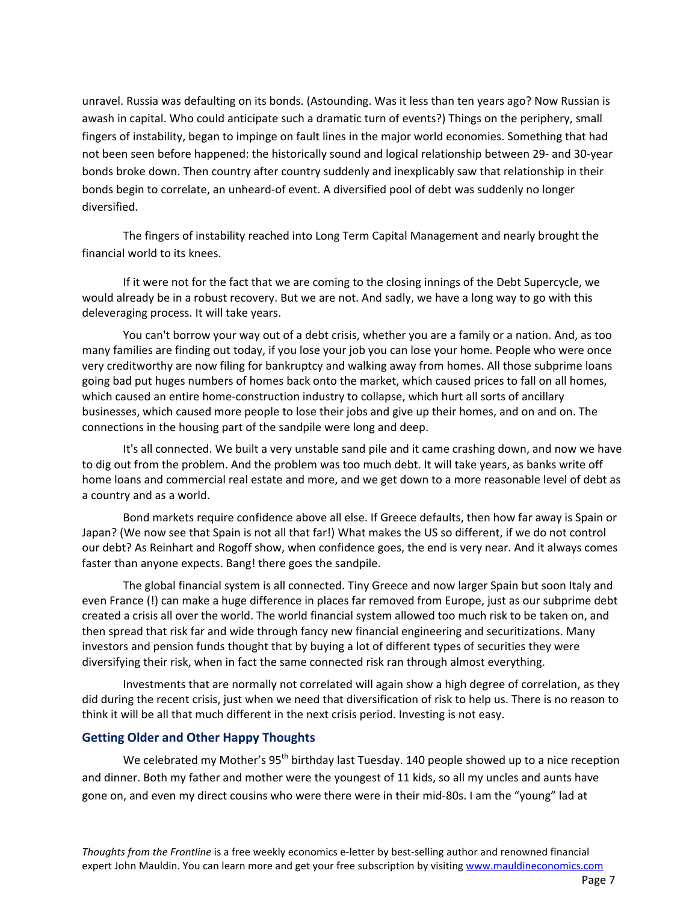unravel. Russia was defaulting on its bonds. (Astounding. Was it less than ten years ago? Now Russian is awash in capital. Who could anticipate such a dramatic turn of events?) Things on the periphery, small fingers of instability, began to impinge on fault lines in the major world economies. Something that had not been seen before happened: the historically sound and logical relationship between 29- and 30-year bonds broke down. Then country after country suddenly and inexplicably saw that relationship in their bonds begin to correlate, an unheard-of event. A diversified pool of debt was suddenly no longer diversified.

The fingers of instability reached into Long Term Capital Management and nearly brought the financial world to its knees.

If it were not for the fact that we are coming to the closing innings of the Debt Supercycle, we would already be in a robust recovery. But we are not. And sadly, we have a long way to go with this deleveraging process. It will take years.

You can't borrow your way out of a debt crisis, whether you are a family or a nation. And, as too many families are finding out today, if you lose your job you can lose your home. People who were once very creditworthy are now filing for bankruptcy and walking away from homes. All those subprime loans going bad put huges numbers of homes back onto the market, which caused prices to fall on all homes, which caused an entire home-construction industry to collapse, which hurt all sorts of ancillary businesses, which caused more people to lose their jobs and give up their homes, and on and on. The connections in the housing part of the sandpile were long and deep.

It's all connected. We built a very unstable sand pile and it came crashing down, and now we have to dig out from the problem. And the problem was too much debt. It will take years, as banks write off home loans and commercial real estate and more, and we get down to a more reasonable level of debt as a country and as a world.

Bond markets require confidence above all else. If Greece defaults, then how far away is Spain or Japan? (We now see that Spain is not all that far!) What makes the US so different, if we do not control our debt? As Reinhart and Rogoff show, when confidence goes, the end is very near. And it always comes faster than anyone expects. Bang! there goes the sandpile.

The global financial system is all connected. Tiny Greece and now larger Spain but soon Italy and even France (!) can make a huge difference in places far removed from Europe, just as our subprime debt created a crisis all over the world. The world financial system allowed too much risk to be taken on, and then spread that risk far and wide through fancy new financial engineering and securitizations. Many investors and pension funds thought that by buying a lot of different types of securities they were diversifying their risk, when in fact the same connected risk ran through almost everything.

Investments that are normally not correlated will again show a high degree of correlation, as they did during the recent crisis, just when we need that diversification of risk to help us. There is no reason to think it will be all that much different in the next crisis period. Investing is not easy.

## **Getting Older and Other Happy Thoughts**

We celebrated my Mother's 95<sup>th</sup> birthday last Tuesday. 140 people showed up to a nice reception and dinner. Both my father and mother were the youngest of 11 kids, so all my uncles and aunts have gone on, and even my direct cousins who were there were in their mid-80s. I am the "young" lad at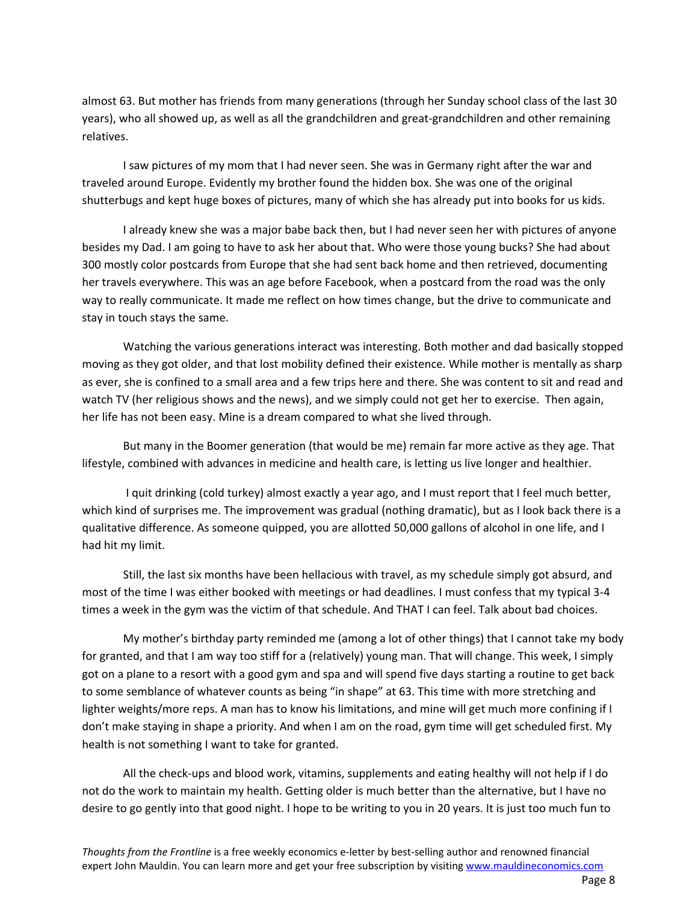almost 63. But mother has friends from many generations (through her Sunday school class of the last 30 years), who all showed up, as well as all the grandchildren and great-grandchildren and other remaining relatives.

I saw pictures of my mom that I had never seen. She was in Germany right after the war and traveled around Europe. Evidently my brother found the hidden box. She was one of the original shutterbugs and kept huge boxes of pictures, many of which she has already put into books for us kids.

I already knew she was a major babe back then, but I had never seen her with pictures of anyone besides my Dad. I am going to have to ask her about that. Who were those young bucks? She had about 300 mostly color postcards from Europe that she had sent back home and then retrieved, documenting her travels everywhere. This was an age before Facebook, when a postcard from the road was the only way to really communicate. It made me reflect on how times change, but the drive to communicate and stay in touch stays the same.

Watching the various generations interact was interesting. Both mother and dad basically stopped moving as they got older, and that lost mobility defined their existence. While mother is mentally as sharp as ever, she is confined to a small area and a few trips here and there. She was content to sit and read and watch TV (her religious shows and the news), and we simply could not get her to exercise. Then again, her life has not been easy. Mine is a dream compared to what she lived through.

But many in the Boomer generation (that would be me) remain far more active as they age. That lifestyle, combined with advances in medicine and health care, is letting us live longer and healthier.

I quit drinking (cold turkey) almost exactly a year ago, and I must report that I feel much better, which kind of surprises me. The improvement was gradual (nothing dramatic), but as I look back there is a qualitative difference. As someone quipped, you are allotted 50,000 gallons of alcohol in one life, and I had hit my limit.

Still, the last six months have been hellacious with travel, as my schedule simply got absurd, and most of the time I was either booked with meetings or had deadlines. I must confess that my typical 3-4 times a week in the gym was the victim of that schedule. And THAT I can feel. Talk about bad choices.

My mother's birthday party reminded me (among a lot of other things) that I cannot take my body for granted, and that I am way too stiff for a (relatively) young man. That will change. This week, I simply got on a plane to a resort with a good gym and spa and will spend five days starting a routine to get back to some semblance of whatever counts as being "in shape" at 63. This time with more stretching and lighter weights/more reps. A man has to know his limitations, and mine will get much more confining if I don't make staying in shape a priority. And when I am on the road, gym time will get scheduled first. My health is not something I want to take for granted.

All the check-ups and blood work, vitamins, supplements and eating healthy will not help if I do not do the work to maintain my health. Getting older is much better than the alternative, but I have no desire to go gently into that good night. I hope to be writing to you in 20 years. It is just too much fun to

*Thoughts from the Frontline* is a free weekly economics e-letter by best-selling author and renowned financial expert John Mauldin. You can learn more and get your free subscription by visiting www.mauldineconomics.com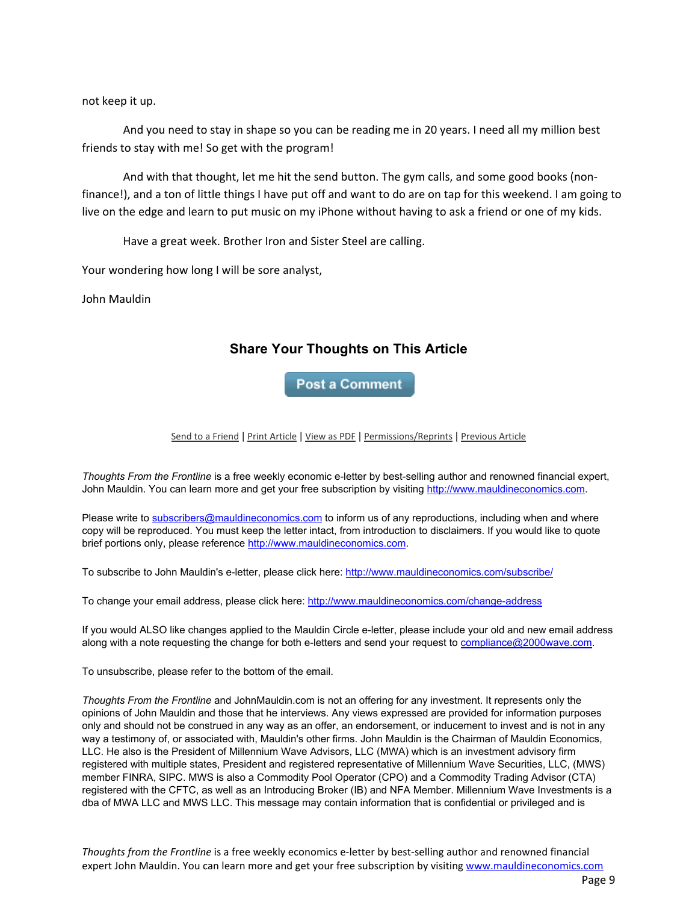not keep it up.

And you need to stay in shape so you can be reading me in 20 years. I need all my million best friends to stay with me! So get with the program!

And with that thought, let me hit the send button. The gym calls, and some good books (nonfinance!), and a ton of little things I have put off and want to do are on tap for this weekend. I am going to live on the edge and learn to put music on my iPhone without having to ask a friend or one of my kids.

Have a great week. Brother Iron and Sister Steel are calling.

Your wondering how long I will be sore analyst,

John!Mauldin!

# **Share Your Thoughts on This Article**

**Post a Comment** 

Send to a Friend | Print Article | View as PDF | Permissions/Reprints | Previous Article

*Thoughts From the Frontline* is a free weekly economic e-letter by best-selling author and renowned financial expert, John Mauldin. You can learn more and get your free subscription by visiting http://www.mauldineconomics.com.

Please write to subscribers@mauldineconomics.com to inform us of any reproductions, including when and where copy will be reproduced. You must keep the letter intact, from introduction to disclaimers. If you would like to quote brief portions only, please reference http://www.mauldineconomics.com.

To subscribe to John Mauldin's e-letter, please click here: http://www.mauldineconomics.com/subscribe/

To change your email address, please click here: http://www.mauldineconomics.com/change-address

If you would ALSO like changes applied to the Mauldin Circle e-letter, please include your old and new email address along with a note requesting the change for both e-letters and send your request to compliance@2000wave.com.

To unsubscribe, please refer to the bottom of the email.

*Thoughts From the Frontline* and JohnMauldin.com is not an offering for any investment. It represents only the opinions of John Mauldin and those that he interviews. Any views expressed are provided for information purposes only and should not be construed in any way as an offer, an endorsement, or inducement to invest and is not in any way a testimony of, or associated with, Mauldin's other firms. John Mauldin is the Chairman of Mauldin Economics, LLC. He also is the President of Millennium Wave Advisors, LLC (MWA) which is an investment advisory firm registered with multiple states, President and registered representative of Millennium Wave Securities, LLC, (MWS) member FINRA, SIPC. MWS is also a Commodity Pool Operator (CPO) and a Commodity Trading Advisor (CTA) registered with the CFTC, as well as an Introducing Broker (IB) and NFA Member. Millennium Wave Investments is a dba of MWA LLC and MWS LLC. This message may contain information that is confidential or privileged and is

*Thoughts from the Frontline* is a free weekly economics e-letter by best-selling author and renowned financial expert John Mauldin. You can learn more and get your free subscription by visiting www.mauldineconomics.com